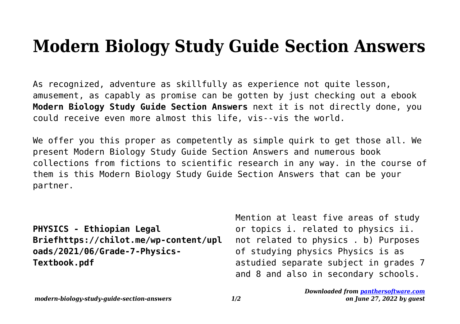## **Modern Biology Study Guide Section Answers**

As recognized, adventure as skillfully as experience not quite lesson, amusement, as capably as promise can be gotten by just checking out a ebook **Modern Biology Study Guide Section Answers** next it is not directly done, you could receive even more almost this life, vis--vis the world.

We offer you this proper as competently as simple quirk to get those all. We present Modern Biology Study Guide Section Answers and numerous book collections from fictions to scientific research in any way. in the course of them is this Modern Biology Study Guide Section Answers that can be your partner.

**PHYSICS - Ethiopian Legal Briefhttps://chilot.me/wp-content/upl oads/2021/06/Grade-7-Physics-Textbook.pdf**

Mention at least five areas of study or topics i. related to physics ii. not related to physics . b) Purposes of studying physics Physics is as astudied separate subject in grades 7 and 8 and also in secondary schools.